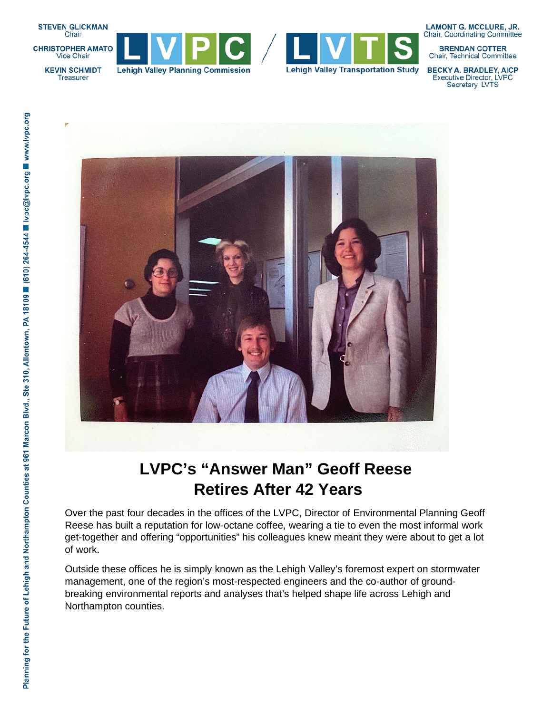

**CHRISTOPHER AMATO** Vice Chair







**LAMONT G. MCCLURE, JR. Chair, Coordinating Committee** 

**BRENDAN COTTER** Chair, Technical Committee

**BECKY A. BRADLEY, AICP Executive Director, LVPC** Secretary, LVTS





## **LVPC's "Answer Man" Geoff Reese Retires After 42 Years**

Over the past four decades in the offices of the LVPC, Director of Environmental Planning Geoff Reese has built a reputation for low-octane coffee, wearing a tie to even the most informal work get-together and offering "opportunities" his colleagues knew meant they were about to get a lot

Outside these offices he is simply known as the Lehigh Valley's foremost expert on stormwater management, one of the region's most-respected engineers and the co-author of groundbreaking environmental reports and analyses that's helped shape life across Lehigh and Northampton counties.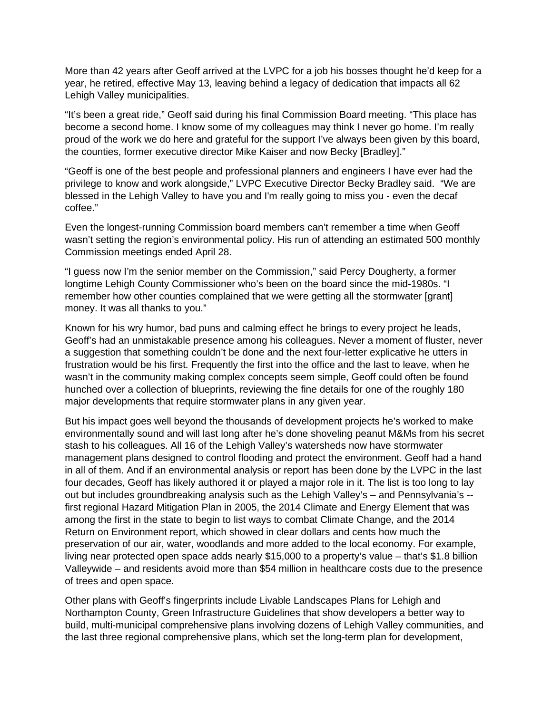More than 42 years after Geoff arrived at the LVPC for a job his bosses thought he'd keep for a year, he retired, effective May 13, leaving behind a legacy of dedication that impacts all 62 Lehigh Valley municipalities.

"It's been a great ride," Geoff said during his final Commission Board meeting. "This place has become a second home. I know some of my colleagues may think I never go home. I'm really proud of the work we do here and grateful for the support I've always been given by this board, the counties, former executive director Mike Kaiser and now Becky [Bradley]."

"Geoff is one of the best people and professional planners and engineers I have ever had the privilege to know and work alongside," LVPC Executive Director Becky Bradley said. "We are blessed in the Lehigh Valley to have you and I'm really going to miss you - even the decaf coffee."

Even the longest-running Commission board members can't remember a time when Geoff wasn't setting the region's environmental policy. His run of attending an estimated 500 monthly Commission meetings ended April 28.

"I guess now I'm the senior member on the Commission," said Percy Dougherty, a former longtime Lehigh County Commissioner who's been on the board since the mid-1980s. "I remember how other counties complained that we were getting all the stormwater [grant] money. It was all thanks to you."

Known for his wry humor, bad puns and calming effect he brings to every project he leads, Geoff's had an unmistakable presence among his colleagues. Never a moment of fluster, never a suggestion that something couldn't be done and the next four-letter explicative he utters in frustration would be his first. Frequently the first into the office and the last to leave, when he wasn't in the community making complex concepts seem simple, Geoff could often be found hunched over a collection of blueprints, reviewing the fine details for one of the roughly 180 major developments that require stormwater plans in any given year.

But his impact goes well beyond the thousands of development projects he's worked to make environmentally sound and will last long after he's done shoveling peanut M&Ms from his secret stash to his colleagues. All 16 of the Lehigh Valley's watersheds now have stormwater management plans designed to control flooding and protect the environment. Geoff had a hand in all of them. And if an environmental analysis or report has been done by the LVPC in the last four decades, Geoff has likely authored it or played a major role in it. The list is too long to lay out but includes groundbreaking analysis such as the Lehigh Valley's – and Pennsylvania's - first regional Hazard Mitigation Plan in 2005, the 2014 Climate and Energy Element that was among the first in the state to begin to list ways to combat Climate Change, and the 2014 Return on Environment report, which showed in clear dollars and cents how much the preservation of our air, water, woodlands and more added to the local economy. For example, living near protected open space adds nearly \$15,000 to a property's value – that's \$1.8 billion Valleywide – and residents avoid more than \$54 million in healthcare costs due to the presence of trees and open space.

Other plans with Geoff's fingerprints include Livable Landscapes Plans for Lehigh and Northampton County, Green Infrastructure Guidelines that show developers a better way to build, multi-municipal comprehensive plans involving dozens of Lehigh Valley communities, and the last three regional comprehensive plans, which set the long-term plan for development,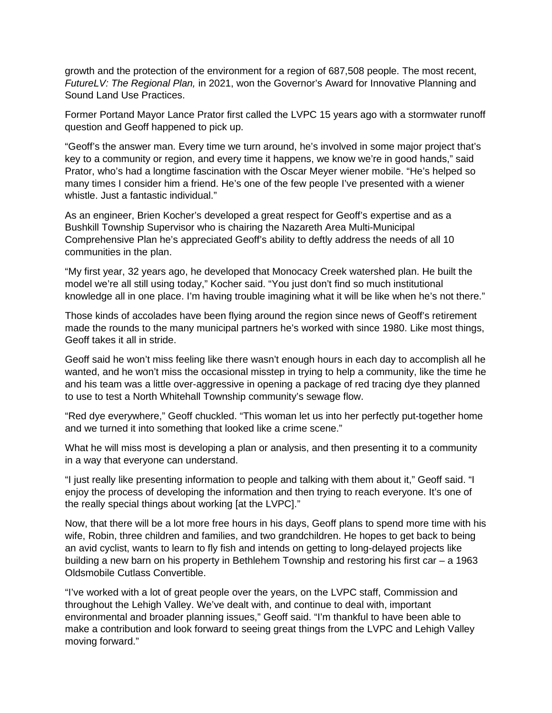growth and the protection of the environment for a region of 687,508 people. The most recent, *FutureLV: The Regional Plan,* in 2021, won the Governor's Award for Innovative Planning and Sound Land Use Practices.

Former Portand Mayor Lance Prator first called the LVPC 15 years ago with a stormwater runoff question and Geoff happened to pick up.

"Geoff's the answer man. Every time we turn around, he's involved in some major project that's key to a community or region, and every time it happens, we know we're in good hands," said Prator, who's had a longtime fascination with the Oscar Meyer wiener mobile. "He's helped so many times I consider him a friend. He's one of the few people I've presented with a wiener whistle. Just a fantastic individual."

As an engineer, Brien Kocher's developed a great respect for Geoff's expertise and as a Bushkill Township Supervisor who is chairing the Nazareth Area Multi-Municipal Comprehensive Plan he's appreciated Geoff's ability to deftly address the needs of all 10 communities in the plan.

"My first year, 32 years ago, he developed that Monocacy Creek watershed plan. He built the model we're all still using today," Kocher said. "You just don't find so much institutional knowledge all in one place. I'm having trouble imagining what it will be like when he's not there."

Those kinds of accolades have been flying around the region since news of Geoff's retirement made the rounds to the many municipal partners he's worked with since 1980. Like most things, Geoff takes it all in stride.

Geoff said he won't miss feeling like there wasn't enough hours in each day to accomplish all he wanted, and he won't miss the occasional misstep in trying to help a community, like the time he and his team was a little over-aggressive in opening a package of red tracing dye they planned to use to test a North Whitehall Township community's sewage flow.

"Red dye everywhere," Geoff chuckled. "This woman let us into her perfectly put-together home and we turned it into something that looked like a crime scene."

What he will miss most is developing a plan or analysis, and then presenting it to a community in a way that everyone can understand.

"I just really like presenting information to people and talking with them about it," Geoff said. "I enjoy the process of developing the information and then trying to reach everyone. It's one of the really special things about working [at the LVPC]."

Now, that there will be a lot more free hours in his days, Geoff plans to spend more time with his wife, Robin, three children and families, and two grandchildren. He hopes to get back to being an avid cyclist, wants to learn to fly fish and intends on getting to long-delayed projects like building a new barn on his property in Bethlehem Township and restoring his first car – a 1963 Oldsmobile Cutlass Convertible.

"I've worked with a lot of great people over the years, on the LVPC staff, Commission and throughout the Lehigh Valley. We've dealt with, and continue to deal with, important environmental and broader planning issues," Geoff said. "I'm thankful to have been able to make a contribution and look forward to seeing great things from the LVPC and Lehigh Valley moving forward."